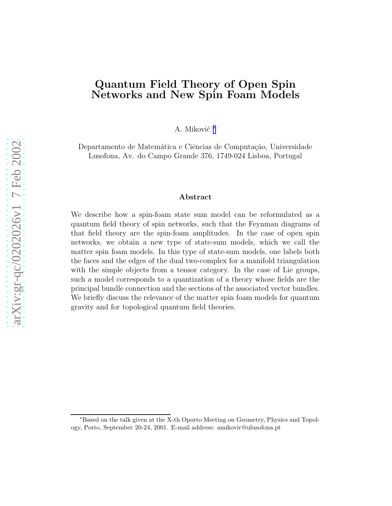## Quantum Field Theory of Open Spin Networks and New Spin Foam Models

A. Miković \*

Departamento de Matemática e Ciências de Computação, Universidade Lusofona, Av. do Campo Grande 376, 1749-024 Lisboa, Portugal

#### Abstract

We describe how a spin-foam state sum model can be reformulated as a quantum field theory of spin networks, such that the Feynman diagrams of that field theory are the spin-foam amplitudes. In the case of open spin networks, we obtain a new type of state-sum models, which we call the matter spin foam models. In this type of state-sum models, one labels both the faces and the edges of the dual two-complex for a manifold triangulation with the simple objects from a tensor category. In the case of Lie groups, such a model corresponds to a quantization of a theory whose fields are the principal bundle connection and the sections of the associated vector bundles. We briefly discuss the relevance of the matter spin foam models for quantum gravity and for topological quantum field theories.

<sup>∗</sup>Based on the talk given at the X-th Oporto Meeting on Geometry, Physics and Topology, Porto, September 20-24, 2001. E-mail address: amikovic@ulusofona.pt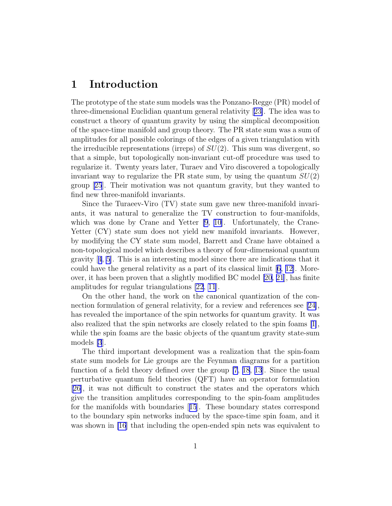## 1 Introduction

The prototype of the state sum models was the Ponzano-Regge (PR) model of three-dimensional Euclidian quantum general relativity[[23\]](#page-13-0). The idea was to construct a theory of quantum gravity by using the simplical decomposition of the space-time manifold and group theory. The PR state sum was a sum of amplitudes for all possible colorings of the edges of a given triangulation with the irreducible representations (irreps) of  $SU(2)$ . This sum was divergent, so that a simple, but topologically non-invariant cut-off procedure was used to regularize it. Twenty years later, Turaev and Viro discovered a topologically invariant way to regularize the PR state sum, by using the quantum  $SU(2)$ group[[25](#page-13-0)]. Their motivation was not quantum gravity, but they wanted to find new three-manifold invariants.

Since the Turaeev-Viro (TV) state sum gave new three-manifold invariants, it was natural to generalize the TV construction to four-manifolds, which was done by Crane and Yetter [\[9](#page-12-0), [10\]](#page-12-0). Unfortunately, the Crane-Yetter (CY) state sum does not yield new manifold invariants. However, by modifying the CY state sum model, Barrett and Crane have obtained a non-topological model which describes a theory of four-dimensional quantum gravity[[4](#page-11-0), [5](#page-12-0)]. This is an interesting model since there are indications that it couldhave the general relativity as a part of its classical limit  $[6, 12]$  $[6, 12]$ . Moreover, it has been proven that a slightly modified BC model [\[20](#page-13-0), [21](#page-13-0)], has finite amplitudes for regular triangulations [\[22](#page-13-0), [11\]](#page-12-0).

On the other hand, the work on the canonical quantization of the connection formulation of general relativity, for a review and references see [\[24\]](#page-13-0), has revealed the importance of the spin networks for quantum gravity. It was also realized that the spin networks are closely related to the spin foams [\[1\]](#page-11-0), while the spin foams are the basic objects of the quantum gravity state-sum models [\[3](#page-11-0)].

The third important development was a realization that the spin-foam state sum models for Lie groups are the Feynman diagrams for a partition function of a field theory defined over the group [\[7](#page-12-0), [18](#page-13-0), [13](#page-12-0)]. Since the usual perturbative quantum field theories (QFT) have an operator formulation [\[26\]](#page-13-0), it was not difficult to construct the states and the operators which give the transition amplitudes corresponding to the spin-foam amplitudes for the manifolds with boundaries[[15](#page-12-0)]. These boundary states correspond to the boundary spin networks induced by the space-time spin foam, and it was shown in [\[16](#page-12-0)] that including the open-ended spin nets was equivalent to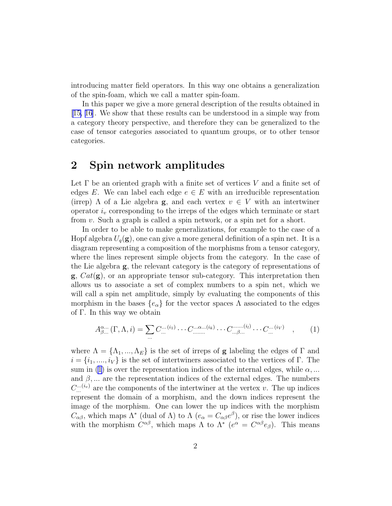<span id="page-2-0"></span>introducing matter field operators. In this way one obtains a generalization of the spin-foam, which we call a matter spin-foam.

In this paper we give a more general description of the results obtained in [\[15, 16](#page-12-0)]. We show that these results can be understood in a simple way from a category theory perspective, and therefore they can be generalized to the case of tensor categories associated to quantum groups, or to other tensor categories.

### 2 Spin network amplitudes

Let  $\Gamma$  be an oriented graph with a finite set of vertices V and a finite set of edges E. We can label each edge  $e \in E$  with an irreducible representation (irrep)  $\Lambda$  of a Lie algebra **g**, and each vertex  $v \in V$  with an intertwiner operator  $i<sub>v</sub>$  corresponding to the irreps of the edges which terminate or start from v. Such a graph is called a spin network, or a spin net for a short.

In order to be able to make generalizations, for example to the case of a Hopf algebra  $U_q(\mathbf{g})$ , one can give a more general definition of a spin net. It is a diagram representing a composition of the morphisms from a tensor category, where the lines represent simple objects from the category. In the case of the Lie algebra g, the relevant category is the category of representations of  $\mathbf{g}, \text{Cat}(\mathbf{g})$ , or an appropriate tensor sub-category. This interpretation then allows us to associate a set of complex numbers to a spin net, which we will call a spin net amplitude, simply by evaluating the components of this morphism in the bases  $\{e_{\alpha}\}\$ for the vector spaces  $\Lambda$  associated to the edges of Γ. In this way we obtain

$$
A^{\alpha\ldots}_{\beta\ldots}(\Gamma,\Lambda,i) = \sum_{\ldots} C^{\ldots(i_1)}_{\ldots} \cdots C^{\ldots\alpha\ldots(i_k)}_{\ldots\ldots}\cdots C^{\ldots(i_l)}_{\ldots\beta\ldots} \cdots C^{\ldots(i_V)}_{\ldots}, \qquad (1)
$$

where  $\Lambda = {\Lambda_1, ..., \Lambda_E}$  is the set of irreps of **g** labeling the edges of  $\Gamma$  and  $i = \{i_1, \ldots, i_V\}$  is the set of intertwiners associated to the vertices of Γ. The sum in (1) is over the representation indices of the internal edges, while  $\alpha$ ,... and  $\beta$ , ... are the representation indices of the external edges. The numbers  $C_{\ldots}^{(i_v)}$  are the components of the intertwiner at the vertex v. The up indices represent the domain of a morphism, and the down indices represent the image of the morphism. One can lower the up indices with the morphism  $C_{\alpha\beta}$ , which maps  $\Lambda^*$  (dual of  $\Lambda$ ) to  $\Lambda$  ( $e_{\alpha} = C_{\alpha\beta}e^{\beta}$ ), or rise the lower indices with the morphism  $C^{\alpha\beta}$ , which maps  $\Lambda$  to  $\Lambda^*$  ( $e^{\alpha} = C^{\alpha\beta}e_{\beta}$ ). This means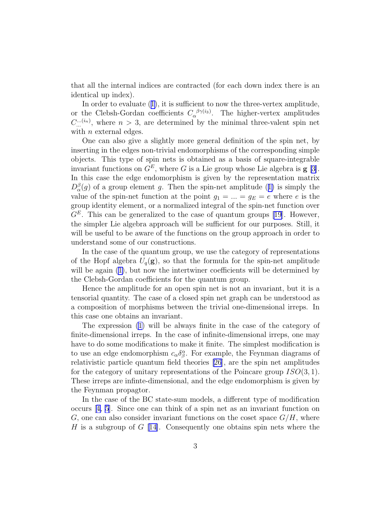that all the internal indices are contracted (for each down index there is an identical up index).

In order to evaluate([1\)](#page-2-0), it is sufficient to now the three-vertex amplitude, or the Clebsh-Gordan coefficients  $C_{\alpha}^{\beta\gamma(i_3)}$ . The higher-vertex amplitudes  $C_{\dots}^{(i_n)}$ , where  $n > 3$ , are determined by the minimal three-valent spin net with  $n$  external edges.

One can also give a slightly more general definition of the spin net, by inserting in the edges non-trivial endomorphisms of the corresponding simple objects. This type of spin nets is obtained as a basis of square-integrable invariant functions on  $G^E$ , where G is a Lie group whose Lie algebra is **g** [\[3\]](#page-11-0). In this case the edge endomorphism is given by the representation matrix  $D_{\alpha}^{\beta}(g)$ of a group element g. Then the spin-net amplitude ([1\)](#page-2-0) is simply the value of the spin-net function at the point  $g_1 = ... = g_E = e$  where e is the group identity element, or a normalized integral of the spin-net function over  $G<sup>E</sup>$ . This can be generalized to the case of quantum groups [\[19](#page-13-0)]. However, the simpler Lie algebra approach will be sufficient for our purposes. Still, it will be useful to be aware of the functions on the group approach in order to understand some of our constructions.

In the case of the quantum group, we use the category of representations of the Hopf algebra  $U_q(\mathbf{g})$ , so that the formula for the spin-net amplitude willbe again  $(1)$  $(1)$ , but now the intertwiner coefficients will be determined by the Clebsh-Gordan coefficients for the quantum group.

Hence the amplitude for an open spin net is not an invariant, but it is a tensorial quantity. The case of a closed spin net graph can be understood as a composition of morphisms between the trivial one-dimensional irreps. In this case one obtains an invariant.

The expression [\(1](#page-2-0)) will be always finite in the case of the category of finite-dimensional irreps. In the case of infinite-dimensional irreps, one may have to do some modifications to make it finite. The simplest modification is to use an edge endomorphism  $c_{\alpha}\delta^{\alpha}_{\beta}$ . For example, the Feynman diagrams of relativistic particle quantum field theories [\[26](#page-13-0)], are the spin net amplitudes for the category of unitary representations of the Poincare group  $ISO(3, 1)$ . These irreps are infinte-dimensional, and the edge endomorphism is given by the Feynman propagtor.

In the case of the BC state-sum models, a different type of modification occurs[[4,](#page-11-0) [5](#page-12-0)]. Since one can think of a spin net as an invariant function on G, one can also consider invariant functions on the coset space  $G/H$ , where H is a subgroup of  $G$  [[14\]](#page-12-0). Consequently one obtains spin nets where the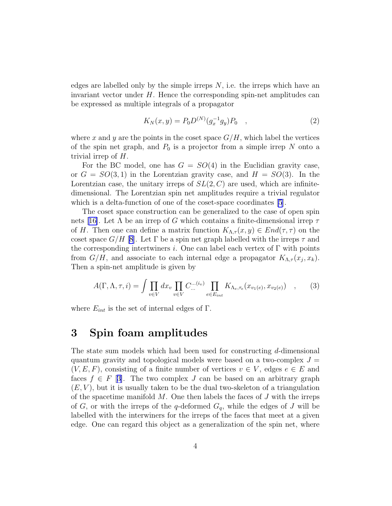<span id="page-4-0"></span>edges are labelled only by the simple irreps  $N$ , i.e. the irreps which have an invariant vector under  $H$ . Hence the corresponding spin-net amplitudes can be expressed as multiple integrals of a propagator

$$
K_N(x, y) = P_0 D^{(N)}(g_x^{-1} g_y) P_0 \quad , \tag{2}
$$

where x and y are the points in the coset space  $G/H$ , which label the vertices of the spin net graph, and  $P_0$  is a projector from a simple irrep N onto a trivial irrep of H.

For the BC model, one has  $G = SO(4)$  in the Euclidian gravity case, or  $G = SO(3, 1)$  in the Lorentzian gravity case, and  $H = SO(3)$ . In the Lorentzian case, the unitary irreps of  $SL(2, \mathbb{C})$  are used, which are infinitedimensional. The Lorentzian spin net amplitudes require a trivial regulator which is a delta-function of one of the coset-space coordinates [\[5](#page-12-0)].

The coset space construction can be generalized to the case of open spin nets[[16\]](#page-12-0). Let  $\Lambda$  be an irrep of G which contains a finite-dimensional irrep  $\tau$ of H. Then one can define a matrix function  $K_{\Lambda,\tau}(x,y) \in End(\tau,\tau)$  on the coset space  $G/H$  [\[8](#page-12-0)]. Let  $\Gamma$  be a spin net graph labelled with the irreps  $\tau$  and the corresponding intertwiners i. One can label each vertex of  $\Gamma$  with points from  $G/H$ , and associate to each internal edge a propagator  $K_{\Lambda,\tau}(x_j,x_k)$ . Then a spin-net amplitude is given by

$$
A(\Gamma,\Lambda,\tau,i) = \int \prod_{v \in V} dx_v \prod_{v \in V} C_{\ldots}^{(i_v)} \prod_{e \in E_{int}} K_{\Lambda_e,\tau_e}(x_{v_1(e)},x_{v_2(e)}) \quad , \tag{3}
$$

where  $E_{int}$  is the set of internal edges of  $\Gamma$ .

#### 3 Spin foam amplitudes

The state sum models which had been used for constructing d-dimensional quantum gravity and topological models were based on a two-complex  $J =$  $(V, E, F)$ , consisting of a finite number of vertices  $v \in V$ , edges  $e \in E$  and faces  $f \in F$  [\[3\]](#page-11-0). The two complex J can be based on an arbitrary graph  $(E, V)$ , but it is usually taken to be the dual two-skeleton of a triangulation of the spacetime manifold  $M$ . One then labels the faces of  $J$  with the irreps of G, or with the irreps of the q-deformed  $G_q$ , while the edges of J will be labelled with the interwiners for the irreps of the faces that meet at a given edge. One can regard this object as a generalization of the spin net, where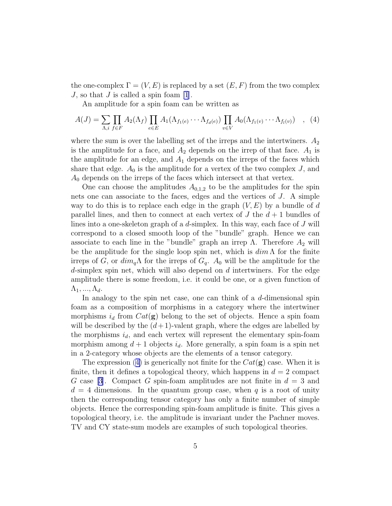<span id="page-5-0"></span>the one-complex  $\Gamma = (V, E)$  is replaced by a set  $(E, F)$  from the two complex  $J$ , so that  $J$  is called a spin foam [\[1](#page-11-0)].

An amplitude for a spin foam can be written as

$$
A(J) = \sum_{\Lambda,i} \prod_{f \in F} A_2(\Lambda_f) \prod_{e \in E} A_1(\Lambda_{f_1(e)} \cdots \Lambda_{f_d(e)}) \prod_{v \in V} A_0(\Lambda_{f_1(v)} \cdots \Lambda_{f_l(v)}) \quad , \tag{4}
$$

where the sum is over the labelling set of the irreps and the intertwiners.  $A_2$ is the amplitude for a face, and  $A_2$  depends on the irrep of that face.  $A_1$  is the amplitude for an edge, and  $A_1$  depends on the irreps of the faces which share that edge.  $A_0$  is the amplitude for a vertex of the two complex J, and  $A_0$  depends on the irreps of the faces which intersect at that vertex.

One can choose the amplitudes  $A_{0,1,2}$  to be the amplitudes for the spin nets one can associate to the faces, edges and the vertices of J. A simple way to do this is to replace each edge in the graph  $(V, E)$  by a bundle of d parallel lines, and then to connect at each vertex of  $J$  the  $d+1$  bundles of lines into a one-skeleton graph of a d-simplex. In this way, each face of J will correspond to a closed smooth loop of the "bundle" graph. Hence we can associate to each line in the "bundle" graph an irrep  $\Lambda$ . Therefore  $A_2$  will be the amplitude for the single loop spin net, which is  $\dim \Lambda$  for the finite irreps of G, or  $dim_q\Lambda$  for the irreps of  $G_q$ .  $A_0$  will be the amplitude for the  $d$ -simplex spin net, which will also depend on  $d$  intertwiners. For the edge amplitude there is some freedom, i.e. it could be one, or a given function of  $\Lambda_1, ..., \Lambda_d$ .

In analogy to the spin net case, one can think of a  $d$ -dimensional spin foam as a composition of morphisms in a category where the intertwiner morphisms  $i_d$  from  $Cat(g)$  belong to the set of objects. Hence a spin foam will be described by the  $(d+1)$ -valent graph, where the edges are labelled by the morphisms  $i_d$ , and each vertex will represent the elementary spin-foam morphism among  $d+1$  objects  $i_d$ . More generally, a spin foam is a spin net in a 2-category whose objects are the elements of a tensor category.

The expression (4) is generically not finite for the  $Cat(g)$  case. When it is finite, then it defines a topological theory, which happens in  $d = 2$  compact G case [\[3\]](#page-11-0). Compact G spin-foam amplitudes are not finite in  $d = 3$  and  $d = 4$  dimensions. In the quantum group case, when q is a root of unity then the corresponding tensor category has only a finite number of simple objects. Hence the corresponding spin-foam amplitude is finite. This gives a topological theory, i.e. the amplitude is invariant under the Pachner moves. TV and CY state-sum models are examples of such topological theories.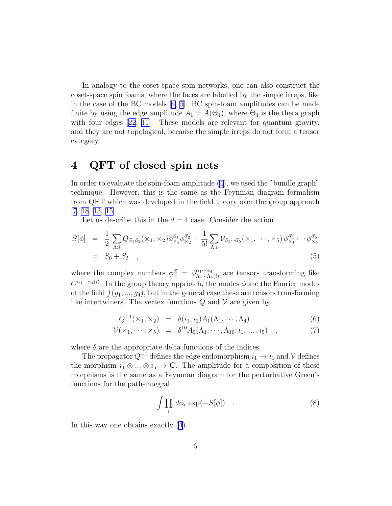In analogy to the coset-space spin networks, one can also construct the coset-space spin foams, where the faces are labelled by the simple irreps, like in the case of the BC models[[4,](#page-11-0) [5\]](#page-12-0). BC spin-foam amplitudes can be made finite by using the edge amplitude  $A_1 = A(\Theta_4)$ , where  $\Theta_4$  is the theta graph withfour edges [[22](#page-13-0), [11\]](#page-12-0). These models are relevant for quantum gravity, and they are not topological, because the simple irreps do not form a tensor category.

## 4 QFT of closed spin nets

In order to evaluate the spin-foam amplitude [\(4\)](#page-5-0), we used the "bundle graph" technique. However, this is the same as the Feynman diagram formalism from QFT which was developed in the field theory over the group approach [\[7,](#page-12-0) [18,](#page-13-0) [13, 15\]](#page-12-0).

Let us describe this in the  $d = 4$  case. Consider the action

$$
S[\phi] = \frac{1}{2} \sum_{\Lambda,i} Q_{\vec{\alpha}_1 \vec{\alpha}_2}(\times_1, \times_2) \phi_{\times_1}^{\vec{\alpha}_1} \phi_{\times_2}^{\vec{\alpha}_2} + \frac{1}{5!} \sum_{\Lambda,i} \mathcal{V}_{\vec{\alpha}_1 \cdots \vec{\alpha}_5}(\times_1, \cdots, \times_5) \phi_{\times_1}^{\vec{\alpha}_1} \cdots \phi_{\times_5}^{\vec{\alpha}_5}
$$
  
=  $S_0 + S_I$  (5)

where the complex numbers  $\phi_{\times}^{\vec{\alpha}} = \phi_{\Lambda_1 \cdots \Lambda_4}^{\alpha_1 \cdots \alpha_4}$  $\alpha_1 \cdots \alpha_4 \atop \Lambda_1 \cdots \Lambda_4(i)}$  are tensors transforming like  $C^{\alpha_1...\alpha_4(i)}$ . In the group theory approach, the modes  $\phi$  are the Fourier modes of the field  $f(g_1, ..., g_4)$ , but in the general case these are tensors transforming like intertwiners. The vertex functions  $Q$  and  $V$  are given by

$$
Q^{-1}(\times_1, \times_2) = \delta(i_1, i_2) A_1(\Lambda_1, \cdots, \Lambda_4)
$$
\n(6)

$$
\mathcal{V}(\times_1, \cdots, \times_5) = \delta^{10} A_0(\Lambda_1, \cdots, \Lambda_{10}; i_1, \ldots, i_5) , \qquad (7)
$$

where  $\delta$  are the appropriate delta functions of the indices.

The propagator  $Q^{-1}$  defines the edge endomorphism  $i_1 \rightarrow i_1$  and V defines the morphism  $i_1 \otimes \ldots \otimes i_5 \to \mathbb{C}$ . The amplitude for a composition of these morphisms is the same as a Feynman diagram for the perturbative Green's functions for the path-integral

$$
\int \prod_i d\phi_i \exp(-S[\phi]) \quad . \tag{8}
$$

In this way one obtains exactly [\(4](#page-5-0)).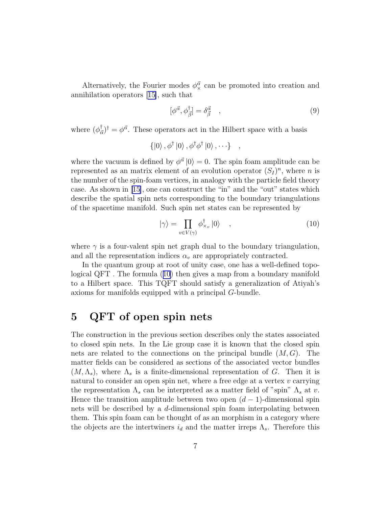Alternatively, the Fourier modes  $\phi_{\mathsf{x}}^{\vec{\alpha}}$  can be promoted into creation and annihilation operators[[15\]](#page-12-0), such that

$$
[\phi^{\vec{\alpha}}, \phi^{\dagger}_{\vec{\beta}}] = \delta^{\vec{\alpha}}_{\vec{\beta}} \quad , \tag{9}
$$

where  $(\phi_{\bar{a}}^{\dagger})$  $\phi_{\vec{\alpha}}^{\dagger}$  =  $\phi^{\vec{\alpha}}$ . These operators act in the Hilbert space with a basis

$$
\{|0\rangle\,,\phi^{\dagger}\,|0\rangle\,,\phi^{\dagger}\phi^{\dagger}\,|0\rangle\,,\cdots\}\quad,
$$

where the vacuum is defined by  $\phi^{\vec{\alpha}} |0\rangle = 0$ . The spin foam amplitude can be represented as an matrix element of an evolution operator  $(S_I)^n$ , where n is the number of the spin-foam vertices, in analogy with the particle field theory case. As shown in [\[15\]](#page-12-0), one can construct the "in" and the "out" states which describe the spatial spin nets corresponding to the boundary triangulations of the spacetime manifold. Such spin net states can be represented by

$$
|\gamma\rangle = \prod_{v \in V(\gamma)} \phi_{\times_v}^{\dagger} |0\rangle \quad , \tag{10}
$$

where  $\gamma$  is a four-valent spin net graph dual to the boundary triangulation, and all the representation indices  $\alpha_v$  are appropriately contracted.

In the quantum group at root of unity case, one has a well-defined topological QFT . The formula (10) then gives a map from a boundary manifold to a Hilbert space. This TQFT should satisfy a generalization of Atiyah's axioms for manifolds equipped with a principal G-bundle.

## 5 QFT of open spin nets

The construction in the previous section describes only the states associated to closed spin nets. In the Lie group case it is known that the closed spin nets are related to the connections on the principal bundle  $(M, G)$ . The matter fields can be considered as sections of the associated vector bundles  $(M, \Lambda_s)$ , where  $\Lambda_s$  is a finite-dimensional representation of G. Then it is natural to consider an open spin net, where a free edge at a vertex  $v$  carrying the representation  $\Lambda_s$  can be interpreted as a matter field of "spin"  $\Lambda_s$  at v. Hence the transition amplitude between two open  $(d-1)$ -dimensional spin nets will be described by a d-dimensional spin foam interpolating between them. This spin foam can be thought of as an morphism in a category where the objects are the intertwiners  $i_d$  and the matter irreps  $\Lambda_s$ . Therefore this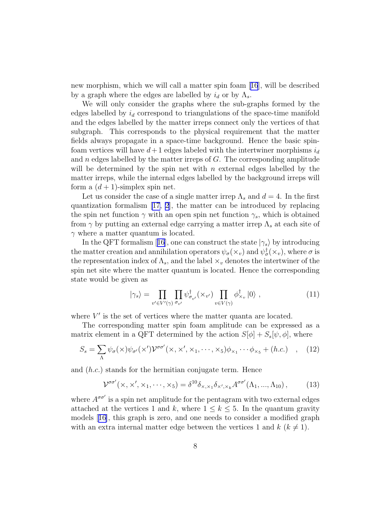new morphism, which we will call a matter spin foam[[16](#page-12-0)], will be described by a graph where the edges are labelled by  $i_d$  or by  $\Lambda_s$ .

We will only consider the graphs where the sub-graphs formed by the edges labelled by  $i_d$  correspond to triangulations of the space-time manifold and the edges labelled by the matter irreps connect only the vertices of that subgraph. This corresponds to the physical requirement that the matter fields always propagate in a space-time background. Hence the basic spinfoam vertices will have  $d+1$  edges labeled with the intertwiner morphisms  $i_d$ and  $n$  edges labelled by the matter irreps of  $G$ . The corresponding amplitude will be determined by the spin net with  $n$  external edges labelled by the matter irreps, while the internal edges labelled by the background irreps will form a  $(d+1)$ -simplex spin net.

Let us consider the case of a single matter irrep  $\Lambda_s$  and  $d=4$ . In the first quantization formalism [\[17,](#page-12-0) [2](#page-11-0)], the matter can be introduced by replacing the spin net function  $\gamma$  with an open spin net function  $\gamma_s$ , which is obtained from  $\gamma$  by putting an external edge carrying a matter irrep  $\Lambda_s$  at each site of  $\gamma$  where a matter quantum is located.

Inthe QFT formalism [[16](#page-12-0)], one can construct the state  $|\gamma_s\rangle$  by introducing the matter creation and annihilation operators  $\psi_{\sigma}(\times_v)$  and  $\psi_{\sigma}^{\dagger}(\times_v)$ , where  $\sigma$  is the representation index of  $\Lambda_s$ , and the label  $\times_v$  denotes the intertwiner of the spin net site where the matter quantum is located. Hence the corresponding state would be given as

$$
|\gamma_s\rangle = \prod_{v' \in V'(\gamma)} \prod_{\sigma_{v'}} \psi_{\sigma_{v'}}^\dagger(\times_{v'}) \prod_{v \in V(\gamma)} \phi_{\times_v}^\dagger |0\rangle , \qquad (11)
$$

where  $V'$  is the set of vertices where the matter quanta are located.

The corresponding matter spin foam amplitude can be expressed as a matrix element in a QFT determined by the action  $S[\phi] + S_s[\psi, \phi]$ , where

$$
S_s = \sum_{\Lambda} \psi_{\sigma}(\times) \psi_{\sigma'}(\times') \mathcal{V}^{\sigma \sigma'}(\times, \times', \times_1, \cdots, \times_5) \phi_{\times_1} \cdots \phi_{\times_5} + (h.c.) \quad , \quad (12)
$$

and (h.c.) stands for the hermitian conjugate term. Hence

$$
\mathcal{V}^{\sigma\sigma'}(\times,\times',\times_1,\cdots,\times_5) = \delta^{10}\delta_{\times,\times_1}\delta_{\times',\times_k}A^{\sigma\sigma'}(\Lambda_1,...,\Lambda_{10}),\tag{13}
$$

where  $A^{\sigma \sigma'}$  is a spin net amplitude for the pentagram with two external edges attached at the vertices 1 and k, where  $1 \leq k \leq 5$ . In the quantum gravity models[[16\]](#page-12-0), this graph is zero, and one needs to consider a modified graph with an extra internal matter edge between the vertices 1 and  $k$  ( $k \neq 1$ ).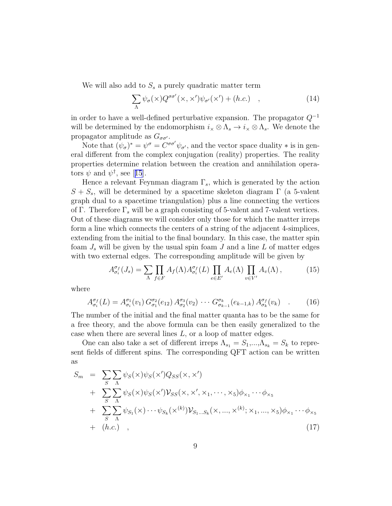<span id="page-9-0"></span>We will also add to  $S<sub>s</sub>$  a purely quadratic matter term

$$
\sum_{\Lambda} \psi_{\sigma}(\times) Q^{\sigma \sigma'}(\times, \times') \psi_{\sigma'}(\times') + (h.c.) \quad , \tag{14}
$$

in order to have a well-defined perturbative expansion. The propagator  $Q^{-1}$ will be determined by the endomorphism  $i_{\times} \otimes \Lambda_s \to i_{\times} \otimes \Lambda_s$ . We denote the propagator amplitude as  $G_{\sigma\sigma'}$ .

Note that  $(\psi_{\sigma})^* = \psi^{\sigma} = C^{\sigma \sigma'} \psi_{\sigma'}$ , and the vector space duality  $*$  is in general different from the complex conjugation (reality) properties. The reality properties determine relation between the creation and annihilation opera-tors $\psi$  and  $\psi^{\dagger}$ , see [[15](#page-12-0)].

Hence a relevant Feynman diagram  $\Gamma_s$ , which is generated by the action  $S + S<sub>s</sub>$ , will be determined by a spacetime skeleton diagram  $\Gamma$  (a 5-valent graph dual to a spacetime triangulation) plus a line connecting the vertices of Γ. Therefore  $\Gamma_s$  will be a graph consisting of 5-valent and 7-valent vertices. Out of these diagrams we will consider only those for which the matter irreps form a line which connects the centers of a string of the adjacent 4-simplices, extending from the initial to the final boundary. In this case, the matter spin foam  $J_s$  will be given by the usual spin foam J and a line L of matter edges with two external edges. The corresponding amplitude will be given by

$$
A_{\sigma_i}^{\sigma_f}(J_s) = \sum_{\Lambda} \prod_{f \in F} A_f(\Lambda) A_{\sigma_i}^{\sigma_f}(L) \prod_{e \in E'} A_e(\Lambda) \prod_{v \in V'} A_v(\Lambda), \qquad (15)
$$

where

$$
A_{\sigma_i}^{\sigma_f}(L) = A_{\sigma_i}^{\sigma_1}(v_1) G_{\sigma_1}^{\sigma_2}(e_{12}) A_{\sigma_2}^{\sigma_3}(v_2) \cdots G_{\sigma_{k-1}}^{\sigma_k}(e_{k-1,k}) A_{\sigma_k}^{\sigma_f}(v_k) \quad . \tag{16}
$$

The number of the initial and the final matter quanta has to be the same for a free theory, and the above formula can be then easily generalized to the case when there are several lines L, or a loop of matter edges.

One can also take a set of different irreps  $\Lambda_{s_1} = S_1, ..., \Lambda_{s_k} = S_k$  to represent fields of different spins. The corresponding QFT action can be written as

$$
S_m = \sum_{S} \sum_{\Lambda} \psi_S(\mathbf{x}) \psi_S(\mathbf{x'}) Q_{SS}(\mathbf{x}, \mathbf{x'})
$$
  
+ 
$$
\sum_{S} \sum_{\Lambda} \psi_S(\mathbf{x}) \psi_S(\mathbf{x'}) \mathcal{V}_{SS}(\mathbf{x}, \mathbf{x'}, \mathbf{x}_1, \dots, \mathbf{x}_5) \phi_{\mathbf{x}_1} \dots \phi_{\mathbf{x}_5}
$$
  
+ 
$$
\sum_{S} \sum_{\Lambda} \psi_{S_1}(\mathbf{x}) \dots \psi_{S_k}(\mathbf{x}^{(k)}) \mathcal{V}_{S_1 \dots S_k}(\mathbf{x}, \dots, \mathbf{x}^{(k)}; \mathbf{x}_1, \dots, \mathbf{x}_5) \phi_{\mathbf{x}_1} \dots \phi_{\mathbf{x}_5}
$$
  
+ 
$$
(h.c.) , \qquad (17)
$$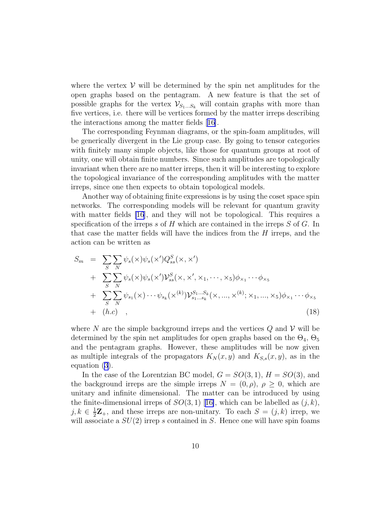where the vertex  $V$  will be determined by the spin net amplitudes for the open graphs based on the pentagram. A new feature is that the set of possible graphs for the vertex  $\mathcal{V}_{S_1...S_k}$  will contain graphs with more than five vertices, i.e. there will be vertices formed by the matter irreps describing the interactions among the matter fields [\[16\]](#page-12-0).

The corresponding Feynman diagrams, or the spin-foam amplitudes, will be generically divergent in the Lie group case. By going to tensor categories with finitely many simple objects, like those for quantum groups at root of unity, one will obtain finite numbers. Since such amplitudes are topologically invariant when there are no matter irreps, then it will be interesting to explore the topological invariance of the corresponding amplitudes with the matter irreps, since one then expects to obtain topological models.

Another way of obtaining finite expressions is by using the coset space spin networks. The corresponding models will be relevant for quantum gravity with matter fields [\[16](#page-12-0)], and they will not be topological. This requires a specification of the irreps s of H which are contained in the irreps  $S$  of  $G$ . In that case the matter fields will have the indices from the  $H$  irreps, and the action can be written as

$$
S_m = \sum_{S} \sum_{N} \psi_s(\mathbf{x}) \psi_s(\mathbf{x'}) Q_{ss}^S(\mathbf{x}, \mathbf{x'})
$$
  
+ 
$$
\sum_{S} \sum_{N} \psi_s(\mathbf{x}) \psi_s(\mathbf{x'}) \mathcal{V}_{ss}^S(\mathbf{x}, \mathbf{x'}, \mathbf{x}_1, \dots, \mathbf{x}_5) \phi_{\mathbf{x}_1} \cdots \phi_{\mathbf{x}_5}
$$
  
+ 
$$
\sum_{S} \sum_{N} \psi_{s_1}(\mathbf{x}) \cdots \psi_{s_k}(\mathbf{x}^{(k)}) \mathcal{V}_{s_1 \dots s_k}^{S_1 \dots S_k}(\mathbf{x}, \dots, \mathbf{x}^{(k)}; \mathbf{x}_1, \dots, \mathbf{x}_5) \phi_{\mathbf{x}_1} \cdots \phi_{\mathbf{x}_5}
$$
  
+ 
$$
(h.c) ,
$$
 (18)

where N are the simple background irreps and the vertices  $Q$  and  $V$  will be determined by the spin net amplitudes for open graphs based on the  $\Theta_4$ ,  $\Theta_5$ and the pentagram graphs. However, these amplitudes will be now given as multiple integrals of the propagators  $K_N(x, y)$  and  $K_{S,s}(x, y)$ , as in the equation [\(3](#page-4-0)).

In the case of the Lorentzian BC model,  $G = SO(3, 1), H = SO(3)$ , and the background irreps are the simple irreps  $N = (0, \rho), \rho \geq 0$ , which are unitary and infinite dimensional. The matter can be introduced by using thefinite-dimensional irreps of  $SO(3,1)$  [[16\]](#page-12-0), which can be labelled as  $(j, k)$ ,  $j, k \in \frac{1}{2}\mathbf{Z}_{+}$ , and these irreps are non-unitary. To each  $S = (j, k)$  irrep, we will associate a  $SU(2)$  irrep s contained in S. Hence one will have spin foams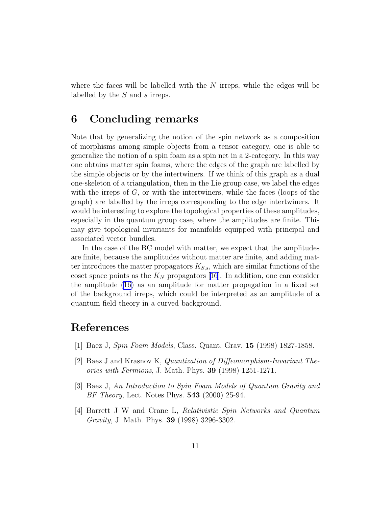<span id="page-11-0"></span>where the faces will be labelled with the  $N$  irreps, while the edges will be labelled by the S and s irreps.

#### 6 Concluding remarks

Note that by generalizing the notion of the spin network as a composition of morphisms among simple objects from a tensor category, one is able to generalize the notion of a spin foam as a spin net in a 2-category. In this way one obtains matter spin foams, where the edges of the graph are labelled by the simple objects or by the intertwiners. If we think of this graph as a dual one-skeleton of a triangulation, then in the Lie group case, we label the edges with the irreps of  $G$ , or with the intertwiners, while the faces (loops of the graph) are labelled by the irreps corresponding to the edge intertwiners. It would be interesting to explore the topological properties of these amplitudes, especially in the quantum group case, where the amplitudes are finite. This may give topological invariants for manifolds equipped with principal and associated vector bundles.

In the case of the BC model with matter, we expect that the amplitudes are finite, because the amplitudes without matter are finite, and adding matter introduces the matter propagators  $K_{S,s}$ , which are similar functions of the cosetspace points as the  $K_N$  propagators [[16](#page-12-0)]. In addition, one can consider the amplitude [\(16](#page-9-0)) as an amplitude for matter propagation in a fixed set of the background irreps, which could be interpreted as an amplitude of a quantum field theory in a curved background.

# References

- [1] Baez J, Spin Foam Models, Class. Quant. Grav. 15 (1998) 1827-1858.
- [2] Baez J and Krasnov K, Quantization of Diffeomorphism-Invariant Theories with Fermions, J. Math. Phys. 39 (1998) 1251-1271.
- [3] Baez J, An Introduction to Spin Foam Models of Quantum Gravity and BF Theory, Lect. Notes Phys. 543 (2000) 25-94.
- [4] Barrett J W and Crane L, Relativistic Spin Networks and Quantum Gravity, J. Math. Phys. 39 (1998) 3296-3302.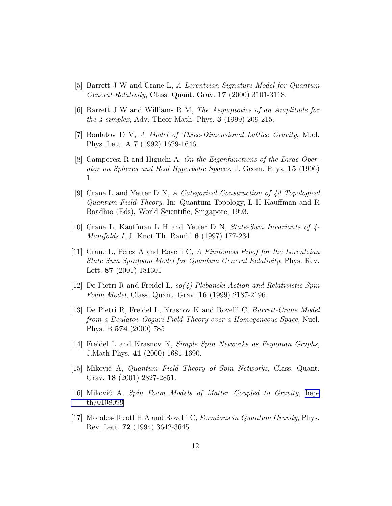- <span id="page-12-0"></span>[5] Barrett J W and Crane L, A Lorentzian Signature Model for Quantum General Relativity, Class. Quant. Grav. 17 (2000) 3101-3118.
- [6] Barrett J W and Williams R M, The Asymptotics of an Amplitude for the  $\frac{4\text{-}simplex}{4\text{-}}$ , Adv. Theor Math. Phys. **3** (1999) 209-215.
- [7] Boulatov D V, A Model of Three-Dimensional Lattice Gravity, Mod. Phys. Lett. A 7 (1992) 1629-1646.
- [8] Camporesi R and Higuchi A, On the Eigenfunctions of the Dirac Operator on Spheres and Real Hyperbolic Spaces, J. Geom. Phys. 15 (1996) 1
- [9] Crane L and Yetter D N, A Categorical Construction of 4d Topological Quantum Field Theory. In: Quantum Topology, L H Kauffman and R Baadhio (Eds), World Scientific, Singapore, 1993.
- [10] Crane L, Kauffman L H and Yetter D N, State-Sum Invariants of  $\frac{1}{4}$ -Manifolds I, J. Knot Th. Ramif. 6 (1997) 177-234.
- [11] Crane L, Perez A and Rovelli C, A Finiteness Proof for the Lorentzian State Sum Spinfoam Model for Quantum General Relativity, Phys. Rev. Lett. 87 (2001) 181301
- [12] De Pietri R and Freidel L,  $so(4)$  Plebanski Action and Relativistic Spin Foam Model, Class. Quant. Grav. 16 (1999) 2187-2196.
- [13] De Pietri R, Freidel L, Krasnov K and Rovelli C, Barrett-Crane Model from a Boulatov-Ooguri Field Theory over a Homogeneous Space, Nucl. Phys. B 574 (2000) 785
- [14] Freidel L and Krasnov K, Simple Spin Networks as Feynman Graphs, J.Math.Phys. 41 (2000) 1681-1690.
- [15] Miković A, *Quantum Field Theory of Spin Networks*, Class. Quant. Grav. 18 (2001) 2827-2851.
- [16] Miković A, Spin Foam Models of Matter Coupled to Gravity, [hep](http://arxiv.org/abs/hep-th/0108099)[th/0108099](http://arxiv.org/abs/hep-th/0108099)
- [17] Morales-Tecotl H A and Rovelli C, Fermions in Quantum Gravity, Phys. Rev. Lett. 72 (1994) 3642-3645.